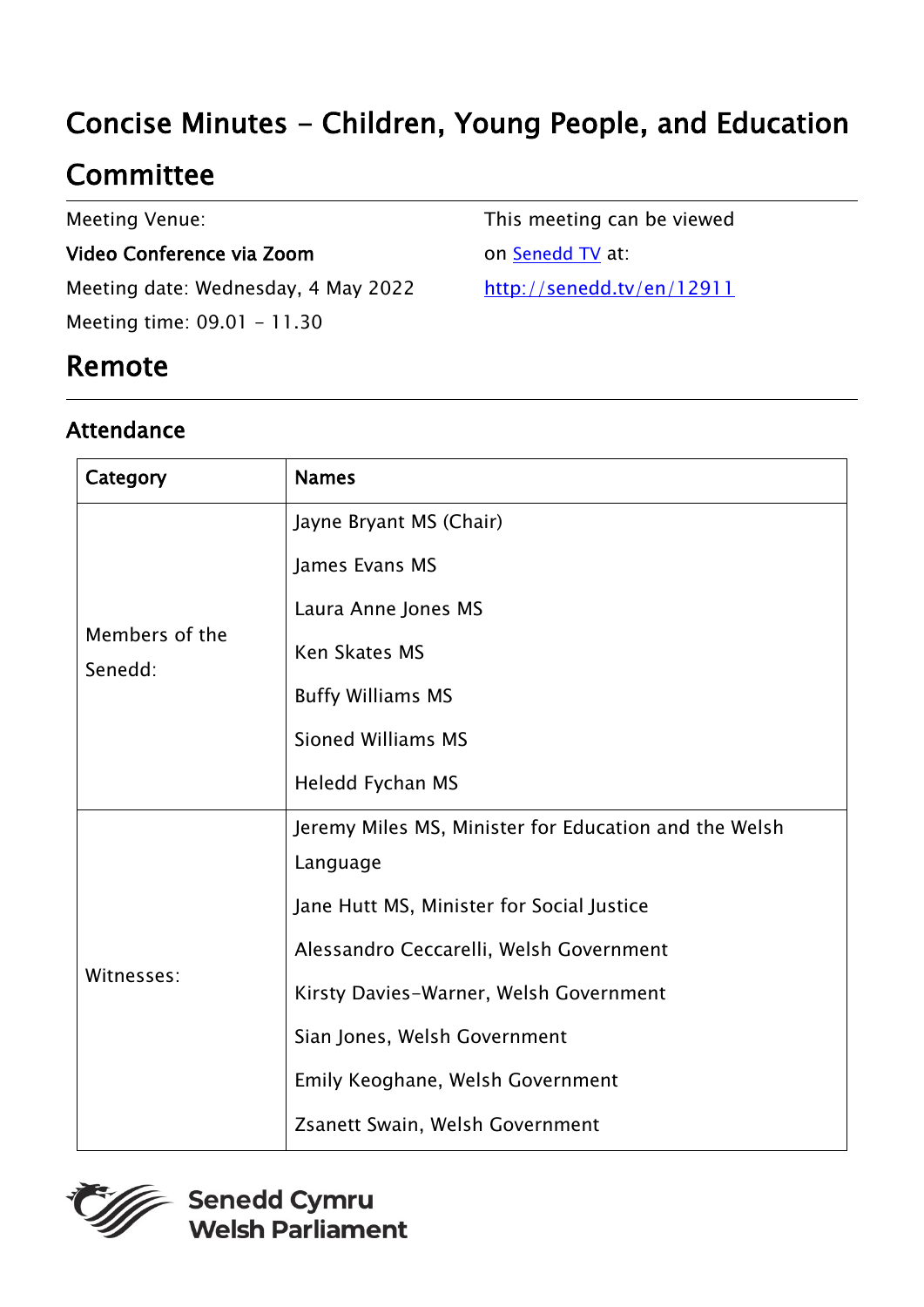# Concise Minutes - Children, Young People, and Education

## **Committee**

Meeting Venue:

#### Video Conference via Zoom

Meeting date: Wednesday, 4 May 2022 Meeting time: 09.01 - 11.30

This meeting can be viewed

on **[Senedd TV](http://senedd.tv/)** at:

[http://senedd.tv/en/12911](http://www.senedd.tv/Meeting/Archive/57f303a9-9725-493c-9d86-e49acf3207aa?autostart=True)

### Remote

#### Attendance

| Category                  | <b>Names</b>                                          |
|---------------------------|-------------------------------------------------------|
| Members of the<br>Senedd: | Jayne Bryant MS (Chair)                               |
|                           | James Evans MS                                        |
|                           | Laura Anne Jones MS                                   |
|                           | <b>Ken Skates MS</b>                                  |
|                           | <b>Buffy Williams MS</b>                              |
|                           | <b>Sioned Williams MS</b>                             |
|                           | Heledd Fychan MS                                      |
| Witnesses:                | Jeremy Miles MS, Minister for Education and the Welsh |
|                           | Language                                              |
|                           | Jane Hutt MS, Minister for Social Justice             |
|                           | Alessandro Ceccarelli, Welsh Government               |
|                           | Kirsty Davies-Warner, Welsh Government                |
|                           | Sian Jones, Welsh Government                          |
|                           | Emily Keoghane, Welsh Government                      |
|                           | Zsanett Swain, Welsh Government                       |

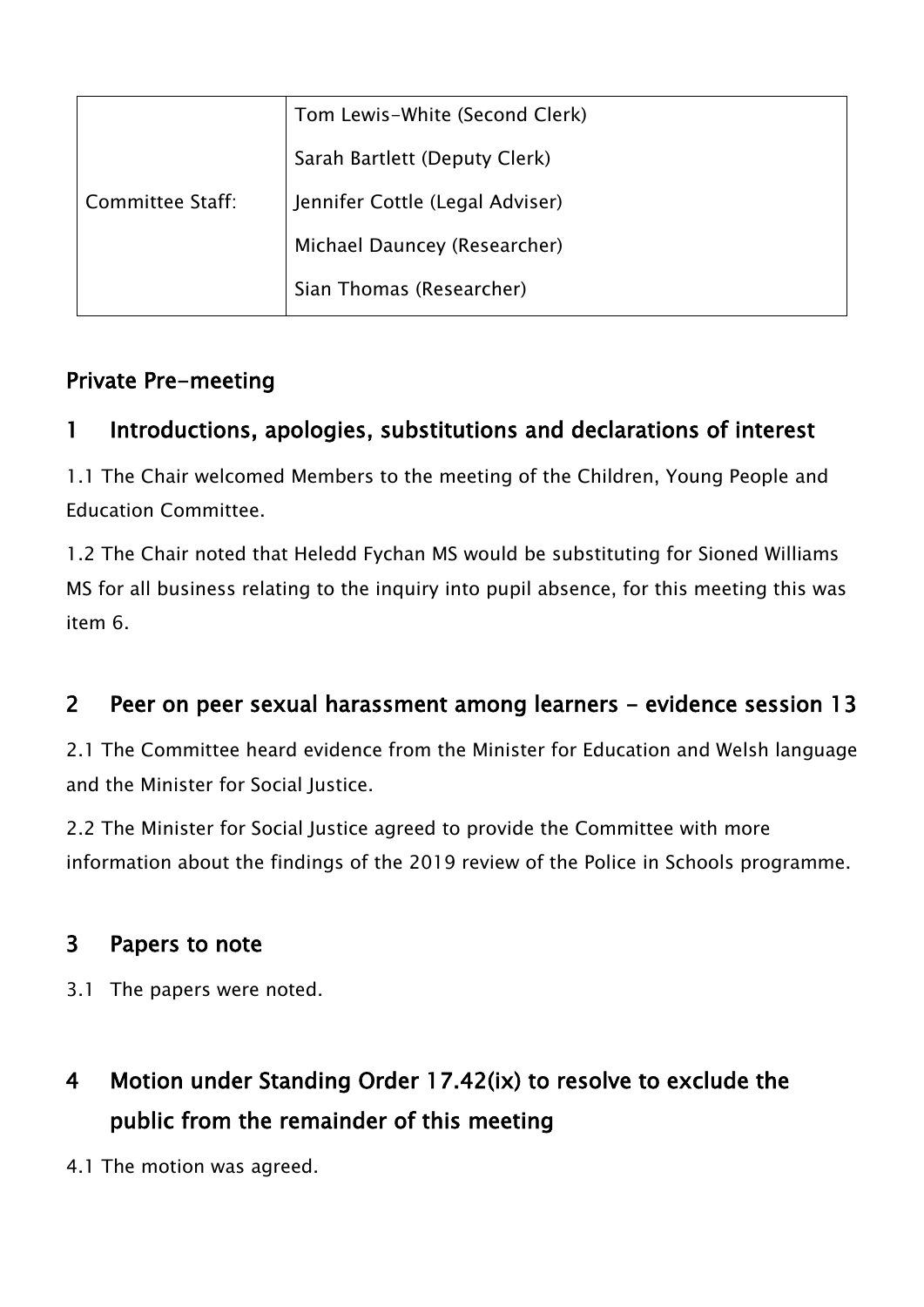| Committee Staff: | Tom Lewis-White (Second Clerk)  |
|------------------|---------------------------------|
|                  | Sarah Bartlett (Deputy Clerk)   |
|                  | Jennifer Cottle (Legal Adviser) |
|                  | Michael Dauncey (Researcher)    |
|                  | Sian Thomas (Researcher)        |

#### Private Pre-meeting

#### 1 Introductions, apologies, substitutions and declarations of interest

1.1 The Chair welcomed Members to the meeting of the Children, Young People and Education Committee.

1.2 The Chair noted that Heledd Fychan MS would be substituting for Sioned Williams MS for all business relating to the inquiry into pupil absence, for this meeting this was item 6.

#### 2 Peer on peer sexual harassment among learners - evidence session 13

2.1 The Committee heard evidence from the Minister for Education and Welsh language and the Minister for Social Justice.

2.2 The Minister for Social Justice agreed to provide the Committee with more information about the findings of the 2019 review of the Police in Schools programme.

#### 3 Papers to note

- 3.1 The papers were noted.
- 4 Motion under Standing Order 17.42(ix) to resolve to exclude the public from the remainder of this meeting
- 4.1 The motion was agreed.